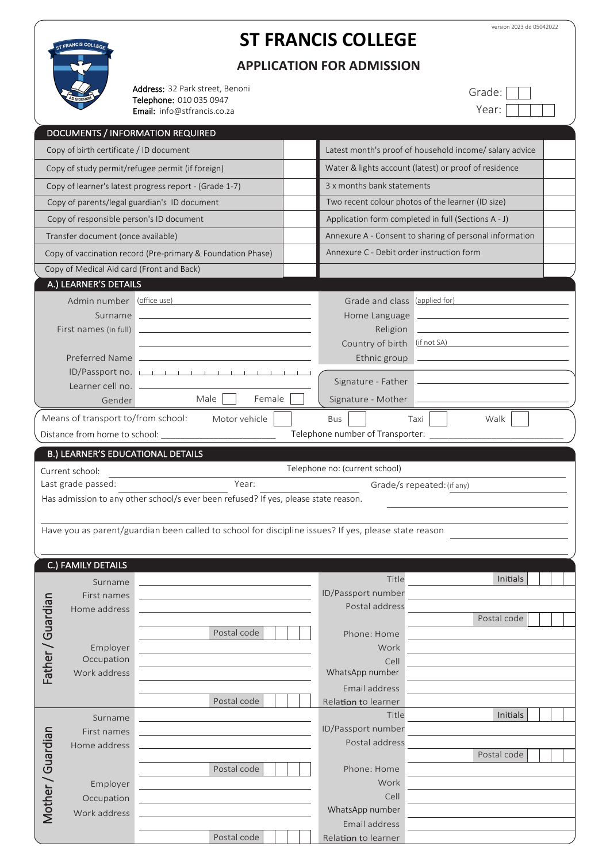

# **ST FRANCIS COLLEGE**

**APPLICATION FOR ADMISSION**

Address: 32 Park street, Benoni Telephone: 010 035 0947 Email: info@stfrancis.co.za

| Grade: |  |  |  |
|--------|--|--|--|
| Year:  |  |  |  |

|                   | <b>DOCUMENTS / INFORMATION REQUIRED</b>   |                                                                                                      |                                                         |                                                       |                                                                            |  |  |
|-------------------|-------------------------------------------|------------------------------------------------------------------------------------------------------|---------------------------------------------------------|-------------------------------------------------------|----------------------------------------------------------------------------|--|--|
|                   | Copy of birth certificate / ID document   |                                                                                                      | Latest month's proof of household income/ salary advice |                                                       |                                                                            |  |  |
|                   |                                           | Copy of study permit/refugee permit (if foreign)                                                     |                                                         | Water & lights account (latest) or proof of residence |                                                                            |  |  |
|                   |                                           | Copy of learner's latest progress report - (Grade 1-7)                                               | 3 x months bank statements                              |                                                       |                                                                            |  |  |
|                   |                                           | Copy of parents/legal guardian's ID document                                                         |                                                         |                                                       | Two recent colour photos of the learner (ID size)                          |  |  |
|                   |                                           | Application form completed in full (Sections A - J)<br>Copy of responsible person's ID document      |                                                         |                                                       |                                                                            |  |  |
|                   | Transfer document (once available)        |                                                                                                      |                                                         |                                                       | Annexure A - Consent to sharing of personal information                    |  |  |
|                   |                                           | Copy of vaccination record (Pre-primary & Foundation Phase)                                          |                                                         | Annexure C - Debit order instruction form             |                                                                            |  |  |
|                   | Copy of Medical Aid card (Front and Back) |                                                                                                      |                                                         |                                                       |                                                                            |  |  |
|                   | A.) LEARNER'S DETAILS                     |                                                                                                      |                                                         |                                                       |                                                                            |  |  |
|                   | Admin number (office use)                 |                                                                                                      |                                                         | Grade and class (applied for)                         |                                                                            |  |  |
|                   | Surname                                   | the control of the control of the control of the control of the control of the control of            |                                                         | Home Language                                         | the control of the control of the control of the control of the control of |  |  |
|                   | First names (in full)                     |                                                                                                      |                                                         | Religion                                              |                                                                            |  |  |
|                   |                                           | the control of the control of the control of the control of the control of the control of            |                                                         | Country of birth                                      | $(f \text{ not } SA)$                                                      |  |  |
|                   |                                           | Preferred Name                                                                                       |                                                         | Ethnic group                                          |                                                                            |  |  |
|                   |                                           | ID/Passport no.                                                                                      |                                                         |                                                       |                                                                            |  |  |
|                   | Gender                                    | Male<br>Female                                                                                       |                                                         | Signature - Mother                                    |                                                                            |  |  |
|                   | Means of transport to/from school:        | Motor vehicle                                                                                        |                                                         | <b>Bus</b>                                            | Taxi<br>Walk                                                               |  |  |
|                   |                                           |                                                                                                      |                                                         | Telephone number of Transporter: _____                |                                                                            |  |  |
|                   |                                           |                                                                                                      |                                                         |                                                       |                                                                            |  |  |
|                   | <b>B.) LEARNER'S EDUCATIONAL DETAILS</b>  |                                                                                                      |                                                         |                                                       |                                                                            |  |  |
|                   |                                           |                                                                                                      |                                                         |                                                       |                                                                            |  |  |
|                   | Current school:                           |                                                                                                      |                                                         | Telephone no: (current school)                        |                                                                            |  |  |
|                   | Last grade passed:                        | Year:                                                                                                |                                                         |                                                       | Grade/s repeated: (if any)                                                 |  |  |
|                   |                                           | Has admission to any other school/s ever been refused? If yes, please state reason.                  |                                                         |                                                       |                                                                            |  |  |
|                   |                                           |                                                                                                      |                                                         |                                                       |                                                                            |  |  |
|                   |                                           | Have you as parent/guardian been called to school for discipline issues? If yes, please state reason |                                                         |                                                       |                                                                            |  |  |
|                   |                                           |                                                                                                      |                                                         |                                                       |                                                                            |  |  |
|                   | C.) FAMILY DETAILS                        |                                                                                                      |                                                         |                                                       |                                                                            |  |  |
|                   | Surname                                   |                                                                                                      |                                                         | Title                                                 | Initials                                                                   |  |  |
|                   | First names                               |                                                                                                      |                                                         | ID/Passport number                                    |                                                                            |  |  |
|                   | Home address                              |                                                                                                      |                                                         | Postal address                                        | Postal code                                                                |  |  |
|                   |                                           | Postal code                                                                                          |                                                         | Phone: Home                                           |                                                                            |  |  |
|                   | Employer                                  |                                                                                                      |                                                         | Work                                                  |                                                                            |  |  |
|                   | Occupation                                |                                                                                                      |                                                         | Cell                                                  |                                                                            |  |  |
| Father / Guardian | Work address                              |                                                                                                      |                                                         | WhatsApp number                                       |                                                                            |  |  |
|                   |                                           |                                                                                                      |                                                         | Email address                                         |                                                                            |  |  |
|                   |                                           | Postal code                                                                                          |                                                         | Relation to learner<br>Title                          | Initials                                                                   |  |  |
|                   | Surname                                   |                                                                                                      |                                                         | ID/Passport number                                    |                                                                            |  |  |
|                   | First names<br>Home address               |                                                                                                      |                                                         | Postal address                                        |                                                                            |  |  |
|                   |                                           |                                                                                                      |                                                         |                                                       | Postal code                                                                |  |  |
|                   |                                           | Postal code                                                                                          |                                                         | Phone: Home                                           |                                                                            |  |  |
|                   | Employer                                  |                                                                                                      |                                                         | Work                                                  |                                                                            |  |  |
|                   | Occupation                                |                                                                                                      |                                                         | Cell                                                  |                                                                            |  |  |
| Mother / Guardian | Work address                              |                                                                                                      |                                                         | WhatsApp number<br>Email address                      |                                                                            |  |  |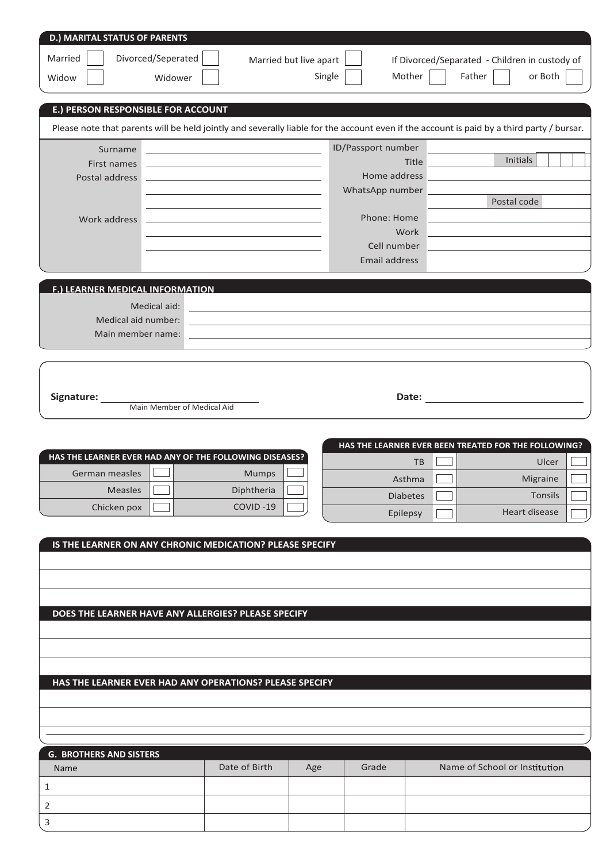| <b>D.) MARITAL STATUS OF PARENTS</b>                    |                    |                                                                                           |                        |                                                                                                                  |                                                                                                                                           |  |
|---------------------------------------------------------|--------------------|-------------------------------------------------------------------------------------------|------------------------|------------------------------------------------------------------------------------------------------------------|-------------------------------------------------------------------------------------------------------------------------------------------|--|
| Married                                                 | Divorced/Seperated |                                                                                           |                        |                                                                                                                  |                                                                                                                                           |  |
|                                                         |                    |                                                                                           | Married but live apart |                                                                                                                  | If Divorced/Separated - Children in custody of                                                                                            |  |
| Widow                                                   | Widower            |                                                                                           | Single                 | Mother                                                                                                           | or Both<br>Father                                                                                                                         |  |
| E.) PERSON RESPONSIBLE FOR ACCOUNT                      |                    |                                                                                           |                        |                                                                                                                  |                                                                                                                                           |  |
|                                                         |                    |                                                                                           |                        |                                                                                                                  |                                                                                                                                           |  |
|                                                         |                    |                                                                                           |                        |                                                                                                                  | Please note that parents will be held jointly and severally liable for the account even if the account is paid by a third party / bursar. |  |
| Surname                                                 |                    |                                                                                           |                        | ID/Passport number                                                                                               | Initials                                                                                                                                  |  |
| First names<br>Postal address                           |                    | the control of the control of the control of the control of the control of the control of |                        | Title<br>Home address                                                                                            |                                                                                                                                           |  |
|                                                         |                    |                                                                                           |                        | WhatsApp number                                                                                                  |                                                                                                                                           |  |
|                                                         |                    |                                                                                           |                        |                                                                                                                  | Postal code                                                                                                                               |  |
| Work address                                            |                    |                                                                                           |                        | Phone: Home                                                                                                      |                                                                                                                                           |  |
|                                                         |                    |                                                                                           |                        | Work<br>Cell number                                                                                              |                                                                                                                                           |  |
|                                                         |                    |                                                                                           |                        | Email address                                                                                                    |                                                                                                                                           |  |
|                                                         |                    |                                                                                           |                        |                                                                                                                  |                                                                                                                                           |  |
| F.) LEARNER MEDICAL INFORMATION                         |                    |                                                                                           |                        |                                                                                                                  |                                                                                                                                           |  |
|                                                         | Medical aid:       |                                                                                           |                        | and the control of the control of the control of the control of the control of the control of the control of the |                                                                                                                                           |  |
| Medical aid number:                                     |                    |                                                                                           |                        |                                                                                                                  |                                                                                                                                           |  |
| Main member name:                                       |                    |                                                                                           |                        | the contract of the contract of the contract of the contract of the contract of the contract of the contract of  |                                                                                                                                           |  |
|                                                         |                    |                                                                                           |                        |                                                                                                                  |                                                                                                                                           |  |
|                                                         |                    |                                                                                           |                        |                                                                                                                  |                                                                                                                                           |  |
| Signature:                                              |                    |                                                                                           |                        |                                                                                                                  |                                                                                                                                           |  |
|                                                         |                    | Main Member of Medical Aid                                                                |                        |                                                                                                                  |                                                                                                                                           |  |
|                                                         |                    |                                                                                           |                        |                                                                                                                  |                                                                                                                                           |  |
|                                                         |                    |                                                                                           |                        |                                                                                                                  |                                                                                                                                           |  |
|                                                         |                    |                                                                                           |                        |                                                                                                                  | HAS THE LEARNER EVER BEEN TREATED FOR THE FOLLOWING?                                                                                      |  |
| HAS THE LEARNER EVER HAD ANY OF THE FOLLOWING DISEASES? |                    |                                                                                           |                        | <b>TB</b>                                                                                                        | Ulcer                                                                                                                                     |  |
| German measles                                          |                    | Mumps                                                                                     |                        | Asthma                                                                                                           | Migraine                                                                                                                                  |  |
| Measles                                                 |                    | Diphtheria                                                                                |                        | <b>Diabetes</b>                                                                                                  | Tonsils                                                                                                                                   |  |
| Chicken pox                                             |                    | COVID-19                                                                                  |                        | Epilepsy                                                                                                         | Heart disease                                                                                                                             |  |
|                                                         |                    |                                                                                           |                        |                                                                                                                  |                                                                                                                                           |  |
|                                                         |                    | IS THE LEARNER ON ANY CHRONIC MEDICATION? PLEASE SPECIFY                                  |                        |                                                                                                                  |                                                                                                                                           |  |
|                                                         |                    |                                                                                           |                        |                                                                                                                  |                                                                                                                                           |  |
|                                                         |                    |                                                                                           |                        |                                                                                                                  |                                                                                                                                           |  |
|                                                         |                    |                                                                                           |                        |                                                                                                                  |                                                                                                                                           |  |
|                                                         |                    | DOES THE LEARNER HAVE ANY ALLERGIES? PLEASE SPECIFY                                       |                        |                                                                                                                  |                                                                                                                                           |  |
|                                                         |                    |                                                                                           |                        |                                                                                                                  |                                                                                                                                           |  |
|                                                         |                    |                                                                                           |                        |                                                                                                                  |                                                                                                                                           |  |
|                                                         |                    |                                                                                           |                        |                                                                                                                  |                                                                                                                                           |  |
|                                                         |                    | HAS THE LEARNER EVER HAD ANY OPERATIONS? PLEASE SPECIFY                                   |                        |                                                                                                                  |                                                                                                                                           |  |
|                                                         |                    |                                                                                           |                        |                                                                                                                  |                                                                                                                                           |  |
|                                                         |                    |                                                                                           |                        |                                                                                                                  |                                                                                                                                           |  |
|                                                         |                    |                                                                                           |                        |                                                                                                                  |                                                                                                                                           |  |
| <b>G. BROTHERS AND SISTERS</b>                          |                    |                                                                                           |                        |                                                                                                                  |                                                                                                                                           |  |
| Name                                                    |                    | Date of Birth                                                                             | Age                    | Grade                                                                                                            | Name of School or Institution                                                                                                             |  |
| 1                                                       |                    |                                                                                           |                        |                                                                                                                  |                                                                                                                                           |  |
| 2                                                       |                    |                                                                                           |                        |                                                                                                                  |                                                                                                                                           |  |
| 3                                                       |                    |                                                                                           |                        |                                                                                                                  |                                                                                                                                           |  |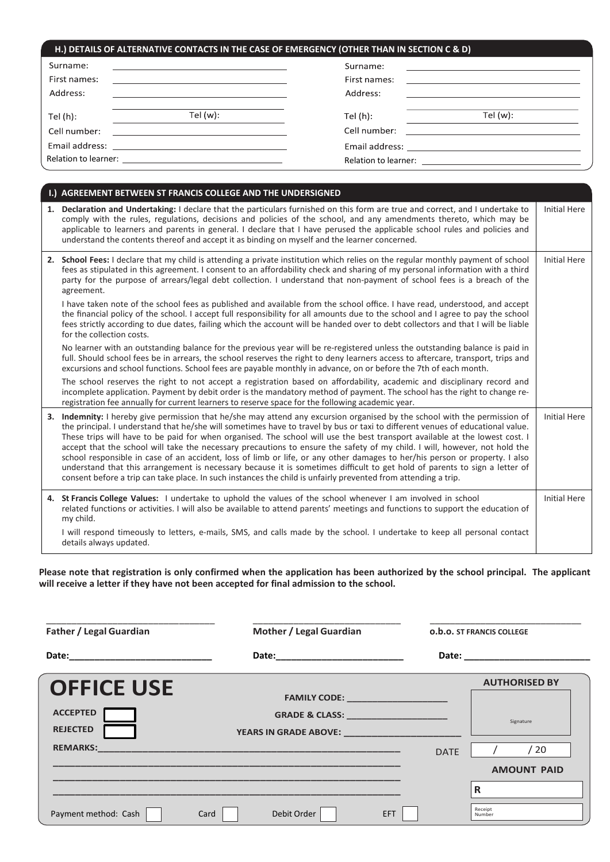| H.) DETAILS OF ALTERNATIVE CONTACTS IN THE CASE OF EMERGENCY (OTHER THAN IN SECTION C & D) |                                                                                                                       |              |                                                                                                                       |  |  |
|--------------------------------------------------------------------------------------------|-----------------------------------------------------------------------------------------------------------------------|--------------|-----------------------------------------------------------------------------------------------------------------------|--|--|
| Surname:                                                                                   | <u> 2002 - John Stein, Amerikaansk politiker (</u> † 1838)                                                            | Surname:     | <u> 1989 - Andrea State Barbara, amerikan personal di personal dengan personal dengan personal dengan personal de</u> |  |  |
| First names:                                                                               | <u> 1989 - Johann Harry Harry Harry Harry Harry Harry Harry Harry Harry Harry Harry Harry Harry Harry Harry Harry</u> | First names: | <u> 1980 - Jan Samuel Barbara, martin da shekara 1980 - An tsara 1980 - An tsara 1980 - An tsara 1980 - An tsara</u>  |  |  |
| Address:                                                                                   | the contract of the contract of the contract of the contract of the contract of the contract of the contract of       | Address:     | <u> 1980 - Johann Stein, mars an deus Amerikaansk kommunister (</u>                                                   |  |  |
| Tel $(h)$ :                                                                                | Tel $(w)$ :                                                                                                           | Tel (h):     | Tel $(w)$ :                                                                                                           |  |  |
| Cell number:                                                                               | <u> 1980 - Jan Stein Berlin, amerikan besteht besteht aus der Stein Berlin und der Stein Berlin und der Stein Be</u>  | Cell number: | <u> 1980 - Jan Samuel Barbara, martin a shekara 1980 - An tsa a tsa a tsa a tsa a tsa a tsa a tsa a tsa a tsa a t</u> |  |  |
|                                                                                            |                                                                                                                       |              |                                                                                                                       |  |  |
|                                                                                            |                                                                                                                       |              |                                                                                                                       |  |  |

| I.) AGREEMENT BETWEEN ST FRANCIS COLLEGE AND THE UNDERSIGNED                                                                                                                                                                                                                                                                                                                                                                                                                                                                                                                                                                                                                                                                                                                                                                                                                                             |                     |
|----------------------------------------------------------------------------------------------------------------------------------------------------------------------------------------------------------------------------------------------------------------------------------------------------------------------------------------------------------------------------------------------------------------------------------------------------------------------------------------------------------------------------------------------------------------------------------------------------------------------------------------------------------------------------------------------------------------------------------------------------------------------------------------------------------------------------------------------------------------------------------------------------------|---------------------|
| 1. Declaration and Undertaking: I declare that the particulars furnished on this form are true and correct, and I undertake to<br>comply with the rules, regulations, decisions and policies of the school, and any amendments thereto, which may be<br>applicable to learners and parents in general. I declare that I have perused the applicable school rules and policies and<br>understand the contents thereof and accept it as binding on myself and the learner concerned.                                                                                                                                                                                                                                                                                                                                                                                                                       | <b>Initial Here</b> |
| 2. School Fees: I declare that my child is attending a private institution which relies on the regular monthly payment of school<br>fees as stipulated in this agreement. I consent to an affordability check and sharing of my personal information with a third<br>party for the purpose of arrears/legal debt collection. I understand that non-payment of school fees is a breach of the<br>agreement.                                                                                                                                                                                                                                                                                                                                                                                                                                                                                               | <b>Initial Here</b> |
| I have taken note of the school fees as published and available from the school office. I have read, understood, and accept<br>the financial policy of the school. I accept full responsibility for all amounts due to the school and I agree to pay the school<br>fees strictly according to due dates, failing which the account will be handed over to debt collectors and that I will be liable<br>for the collection costs.                                                                                                                                                                                                                                                                                                                                                                                                                                                                         |                     |
| No learner with an outstanding balance for the previous year will be re-registered unless the outstanding balance is paid in<br>full. Should school fees be in arrears, the school reserves the right to deny learners access to aftercare, transport, trips and<br>excursions and school functions. School fees are payable monthly in advance, on or before the 7th of each month.                                                                                                                                                                                                                                                                                                                                                                                                                                                                                                                     |                     |
| The school reserves the right to not accept a registration based on affordability, academic and disciplinary record and<br>incomplete application. Payment by debit order is the mandatory method of payment. The school has the right to change re-<br>registration fee annually for current learners to reserve space for the following academic year.                                                                                                                                                                                                                                                                                                                                                                                                                                                                                                                                                 |                     |
| 3. Indemnity: I hereby give permission that he/she may attend any excursion organised by the school with the permission of<br>the principal. I understand that he/she will sometimes have to travel by bus or taxi to different venues of educational value.<br>These trips will have to be paid for when organised. The school will use the best transport available at the lowest cost. I<br>accept that the school will take the necessary precautions to ensure the safety of my child. I will, however, not hold the<br>school responsible in case of an accident, loss of limb or life, or any other damages to her/his person or property. I also<br>understand that this arrangement is necessary because it is sometimes difficult to get hold of parents to sign a letter of<br>consent before a trip can take place. In such instances the child is unfairly prevented from attending a trip. | <b>Initial Here</b> |
| 4. St Francis College Values: I undertake to uphold the values of the school whenever I am involved in school<br>related functions or activities. I will also be available to attend parents' meetings and functions to support the education of<br>my child.                                                                                                                                                                                                                                                                                                                                                                                                                                                                                                                                                                                                                                            | <b>Initial Here</b> |
| I will respond timeously to letters, e-mails, SMS, and calls made by the school. I undertake to keep all personal contact<br>details always updated.                                                                                                                                                                                                                                                                                                                                                                                                                                                                                                                                                                                                                                                                                                                                                     |                     |

**Please note that registration is only confirmed when the application has been authorized by the school principal. The applicant will receive a letter if they have not been accepted for final admission to the school.**

| <b>Father / Legal Guardian</b>                                             | Mother / Legal Guardian                                                                                                                                                                                                                                                                                                                                                                                                                        |             | <b>0.b.o. ST FRANCIS COLLEGE</b>                                                                                                                                                                                               |
|----------------------------------------------------------------------------|------------------------------------------------------------------------------------------------------------------------------------------------------------------------------------------------------------------------------------------------------------------------------------------------------------------------------------------------------------------------------------------------------------------------------------------------|-------------|--------------------------------------------------------------------------------------------------------------------------------------------------------------------------------------------------------------------------------|
| Date: _____________________________                                        |                                                                                                                                                                                                                                                                                                                                                                                                                                                |             | Date: the contract of the contract of the contract of the contract of the contract of the contract of the contract of the contract of the contract of the contract of the contract of the contract of the contract of the cont |
| <b>OFFICE USE</b><br><b>ACCEPTED</b><br><b>REJECTED</b><br><b>REMARKS:</b> | FAMILY CODE: ______________________<br>GRADE & CLASS: ________________________<br><b>YEARS IN GRADE ABOVE:</b> The contract of the contract of the contract of the contract of the contract of the contract of the contract of the contract of the contract of the contract of the contract of the contract of the co<br><u> 1989 - Johann Stoff, deutscher Stoff, der Stoff, der Stoff, der Stoff, der Stoff, der Stoff, der Stoff, der S</u> | <b>DATE</b> | <b>AUTHORISED BY</b><br>Signature<br>/20<br><b>AMOUNT PAID</b>                                                                                                                                                                 |
| Payment method: Cash                                                       | Debit Order<br>EFT.<br>Card                                                                                                                                                                                                                                                                                                                                                                                                                    |             | R<br>Receipt<br>Number                                                                                                                                                                                                         |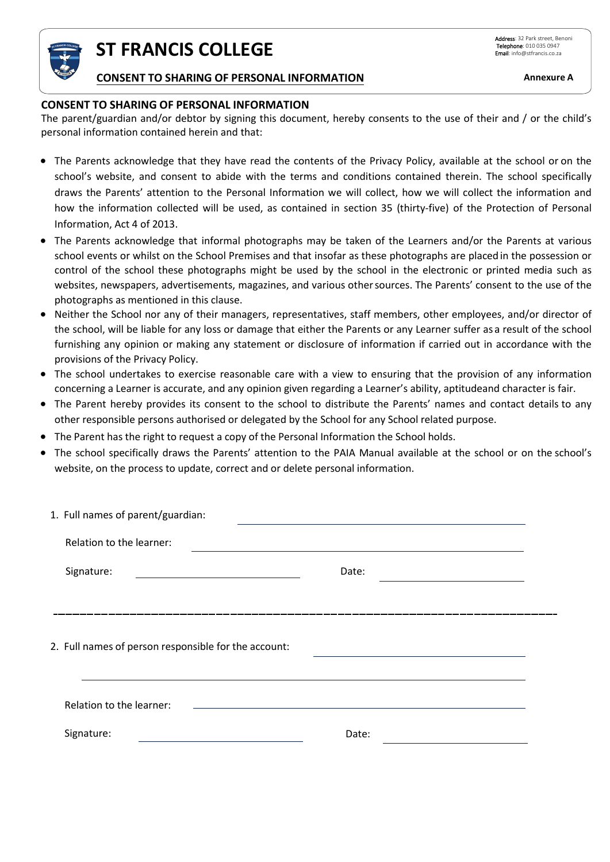

**ST FRANCIS COLLEGE**

## **CONSENT TO SHARING OF PERSONAL INFORMATION Annexure A**

### **CONSENT TO SHARING OF PERSONAL INFORMATION**

The parent/guardian and/or debtor by signing this document, hereby consents to the use of their and / or the child's personal information contained herein and that:

- The Parents acknowledge that they have read the contents of the Privacy Policy, available at the school or on the school's website, and consent to abide with the terms and conditions contained therein. The school specifically draws the Parents' attention to the Personal Information we will collect, how we will collect the information and how the information collected will be used, as contained in section 35 (thirty-five) of the Protection of Personal Information, Act 4 of 2013.
- The Parents acknowledge that informal photographs may be taken of the Learners and/or the Parents at various school events or whilst on the School Premises and that insofar as these photographs are placedin the possession or control of the school these photographs might be used by the school in the electronic or printed media such as websites, newspapers, advertisements, magazines, and various othersources. The Parents' consent to the use of the photographs as mentioned in this clause.
- Neither the School nor any of their managers, representatives, staff members, other employees, and/or director of the school, will be liable for any loss or damage that either the Parents or any Learner suffer as a result of the school furnishing any opinion or making any statement or disclosure of information if carried out in accordance with the provisions of the Privacy Policy.
- The school undertakes to exercise reasonable care with a view to ensuring that the provision of any information concerning a Learner is accurate, and any opinion given regarding a Learner's ability, aptitudeand character is fair.
- The Parent hereby provides its consent to the school to distribute the Parents' names and contact details to any other responsible persons authorised or delegated by the School for any School related purpose.
- The Parent has the right to request a copy of the Personal Information the School holds.
- The school specifically draws the Parents' attention to the PAIA Manual available at the school or on the school's website, on the process to update, correct and or delete personal information.

| 1. Full names of parent/guardian:                    |                                                   |       |                                                                            |  |
|------------------------------------------------------|---------------------------------------------------|-------|----------------------------------------------------------------------------|--|
| Relation to the learner:                             |                                                   |       |                                                                            |  |
| Signature:                                           | <u> 1989 - Johann Barbara, martxa alemaniar a</u> | Date: | the control of the control of the control of the control of the control of |  |
|                                                      |                                                   |       |                                                                            |  |
| 2. Full names of person responsible for the account: |                                                   |       |                                                                            |  |
| Relation to the learner:                             |                                                   |       |                                                                            |  |
| Signature:                                           |                                                   | Date: |                                                                            |  |